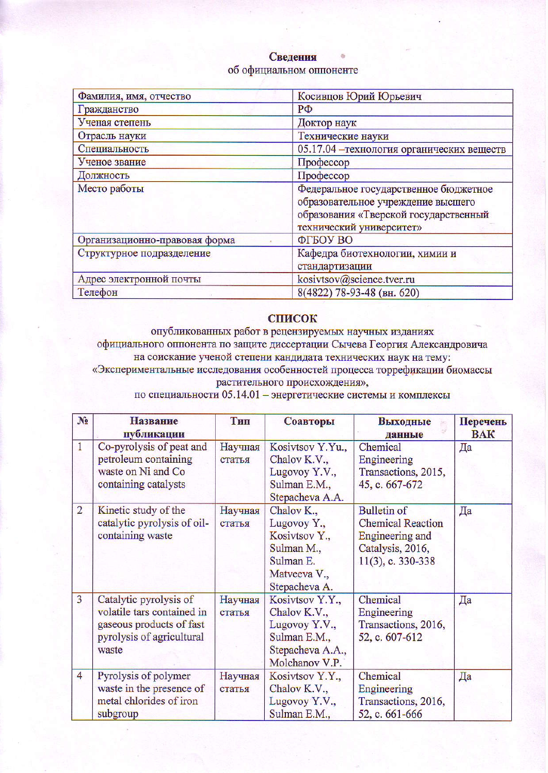## Сведения об официальном оппоненте

| Фамилия, имя, отчество        | Косивцов Юрий Юрьевич                                                                                                                            |
|-------------------------------|--------------------------------------------------------------------------------------------------------------------------------------------------|
| Гражданство                   | $P\Phi$                                                                                                                                          |
| Ученая степень                | Доктор наук                                                                                                                                      |
| Отрасль науки                 | Технические науки                                                                                                                                |
| Специальность                 | 05.17.04 - технология органических веществ                                                                                                       |
| Ученое звание                 | Профессор                                                                                                                                        |
| Должность                     | Профессор                                                                                                                                        |
| Место работы                  | Федеральное государственное бюджетное<br>образовательное учреждение высшего<br>образования «Тверской государственный<br>технический университет» |
| Организационно-правовая форма | ФГБОУ ВО                                                                                                                                         |
| Структурное подразделение     | Кафедра биотехнологии, химии и<br>стандартизации                                                                                                 |
| Адрес электронной почты       | kosivtsov@science.tver.ru                                                                                                                        |
| Телефон                       | 8(4822) 78-93-48 (вн. 620)                                                                                                                       |

## **СПИСОК**

опубликованных работ в рецензируемых научных изданиях официального оппонента по защите диссертации Сычева Георгия Александровича на соискание ученой степени кандидата технических наук на тему: «Экспериментальные исследования особенностей процесса торрефикации биомассы растительного происхождения»,

по специальности 05.14.01 - энергетические системы и комплексы

| $N_2$          | <b>Название</b><br>публикации                                                                                          | Тип               | Соавторы                                                                                               | Выходные<br>данные                                                                                            | Перечень<br><b>BAK</b> |
|----------------|------------------------------------------------------------------------------------------------------------------------|-------------------|--------------------------------------------------------------------------------------------------------|---------------------------------------------------------------------------------------------------------------|------------------------|
| $\mathbf{1}$   | Co-pyrolysis of peat and<br>petroleum containing<br>waste on Ni and Co<br>containing catalysts                         | Научная<br>статья | Kosivtsov Y.Yu.,<br>Chalov K.V.,<br>Lugovoy Y.V.,<br>Sulman E.M.,<br>Stepacheva A.A.                   | Chemical<br>Engineering<br>Transactions, 2015,<br>45, c. 667-672                                              | Да                     |
| $\overline{2}$ | Kinetic study of the<br>catalytic pyrolysis of oil-<br>containing waste                                                | Научная<br>статья | Chalov K.,<br>Lugovoy Y.,<br>Kosivtsov Y.,<br>Sulman M.,<br>Sulman E.<br>Matveeva V.,<br>Stepacheva A. | <b>Bulletin of</b><br><b>Chemical Reaction</b><br>Engineering and<br>Catalysis, 2016,<br>$11(3)$ , c. 330-338 | Да                     |
| $\overline{3}$ | Catalytic pyrolysis of<br>volatile tars contained in<br>gaseous products of fast<br>pyrolysis of agricultural<br>waste | Научная<br>статья | Kosivtsov Y.Y.,<br>Chalov K.V.,<br>Lugovoy Y.V.,<br>Sulman E.M.,<br>Stepacheva A.A.,<br>Molchanov V.P. | Chemical<br>Engineering<br>Transactions, 2016,<br>52, c. 607-612                                              | Да                     |
| $\overline{4}$ | Pyrolysis of polymer<br>waste in the presence of<br>metal chlorides of iron<br>subgroup                                | Научная<br>статья | Kosivtsov Y.Y.,<br>Chalov K.V.,<br>Lugovoy Y.V.,<br>Sulman E.M.,                                       | Chemical<br>Engineering<br>Transactions, 2016,<br>52, c. 661-666                                              | Да                     |